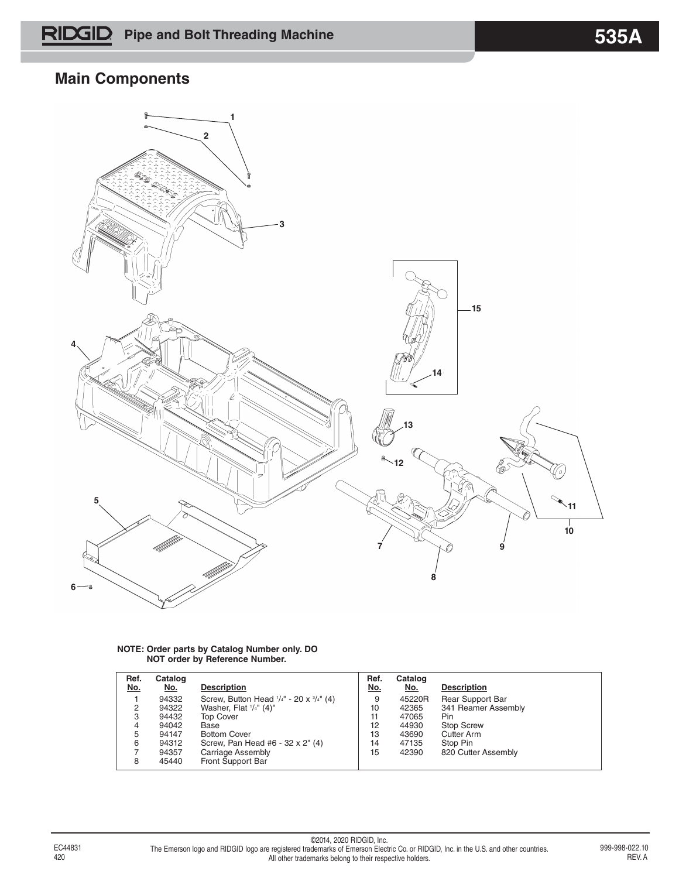## **Main Components**



#### **NOTE: Order parts by Catalog Number only. DO NOT order by Reference Number.**

| Ref.<br><u>No.</u> | Catalog<br><u>No.</u> | <b>Description</b>                                            | Ref.<br><u>No.</u> | Catalog<br><u>No.</u> | <b>Description</b>      |
|--------------------|-----------------------|---------------------------------------------------------------|--------------------|-----------------------|-------------------------|
|                    | 94332                 | Screw, Button Head $\frac{1}{4}$ " - 20 x $\frac{3}{4}$ " (4) | 9                  | 45220R                | <b>Rear Support Bar</b> |
| 2                  | 94322                 | Washer, Flat $\frac{1}{4}$ " (4)"                             | 10                 | 42365                 | 341 Reamer Assembly     |
| 3                  | 94432                 | <b>Top Cover</b>                                              | 11                 | 47065                 | Pin                     |
| 4                  | 94042                 | Base                                                          | 12                 | 44930                 | <b>Stop Screw</b>       |
| 5                  | 94147                 | <b>Bottom Cover</b>                                           | 13                 | 43690                 | <b>Cutter Arm</b>       |
| 6                  | 94312                 | Screw, Pan Head #6 - 32 x 2" (4)                              | 14                 | 47135                 | Stop Pin                |
|                    | 94357                 | Carriage Assembly                                             | 15                 | 42390                 | 820 Cutter Assembly     |
| 8                  | 45440                 | Front Support Bar                                             |                    |                       |                         |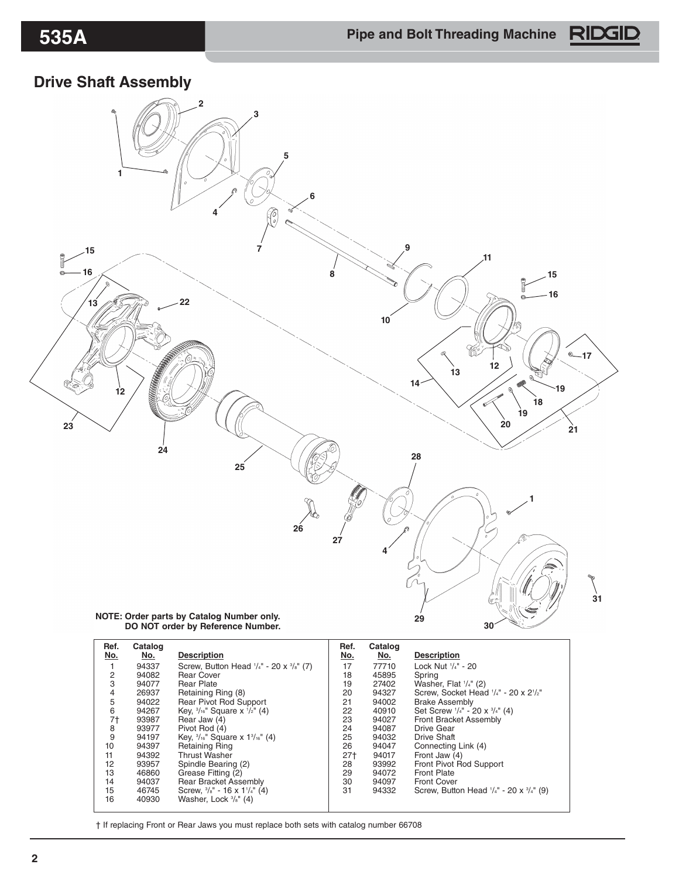### **Drive Shaft Assembly**



| Ref.<br>No.    | Catalog<br>No. | <b>Description</b>                                            | Ref.<br>No. | Catalog<br>No. | <b>Description</b>                                            |
|----------------|----------------|---------------------------------------------------------------|-------------|----------------|---------------------------------------------------------------|
|                | 94337          | Screw, Button Head $\frac{1}{4}$ " - 20 x $\frac{3}{8}$ " (7) | 17          | 77710          | Lock Nut '/4" - 20                                            |
| 2              | 94082          | Rear Cover                                                    | 18          | 45895          | Spring                                                        |
| 3              | 94077          | <b>Rear Plate</b>                                             | 19          | 27402          | Washer, Flat $\frac{1}{4}$ " (2)                              |
| 4              | 26937          | Retaining Ring (8)                                            | 20          | 94327          | Screw, Socket Head '/4" - 20 x 2'/2"                          |
| 5              | 94022          | <b>Rear Pivot Rod Support</b>                                 | 21          | 94002          | <b>Brake Assembly</b>                                         |
| 6              | 94267          | Key, $\frac{3}{16}$ " Square x $\frac{1}{2}$ " (4)            | 22          | 40910          | Set Screw $\frac{1}{4}$ " - 20 x $\frac{3}{4}$ " (4)          |
| 7 <sup>†</sup> | 93987          | Rear Jaw (4)                                                  | 23          | 94027          | Front Bracket Assembly                                        |
| 8              | 93977          | Pivot Rod (4)                                                 | 24          | 94087          | <b>Drive Gear</b>                                             |
| 9              | 94197          | Key, $\frac{3}{16}$ " Square x $1\frac{3}{16}$ " (4)          | 25          | 94032          | <b>Drive Shaft</b>                                            |
| 10             | 94397          | <b>Retaining Ring</b>                                         | 26          | 94047          | Connecting Link (4)                                           |
| 11             | 94392          | <b>Thrust Washer</b>                                          | $27+$       | 94017          | Front Jaw (4)                                                 |
| 12             | 93957          | Spindle Bearing (2)                                           | 28          | 93992          | Front Pivot Rod Support                                       |
| 13             | 46860          | Grease Fitting (2)                                            | 29          | 94072          | <b>Front Plate</b>                                            |
| 14             | 94037          | <b>Rear Bracket Assembly</b>                                  | 30          | 94097          | <b>Front Cover</b>                                            |
| 15             | 46745          | Screw, $\frac{3}{8}$ " - 16 x 1 $\frac{1}{4}$ " (4)           | 31          | 94332          | Screw, Button Head $\frac{1}{4}$ " - 20 x $\frac{3}{4}$ " (9) |
| 16             | 40930          | Washer, Lock $\frac{3}{8}$ " (4)                              |             |                |                                                               |

† If replacing Front or Rear Jaws you must replace both sets with catalog number 66708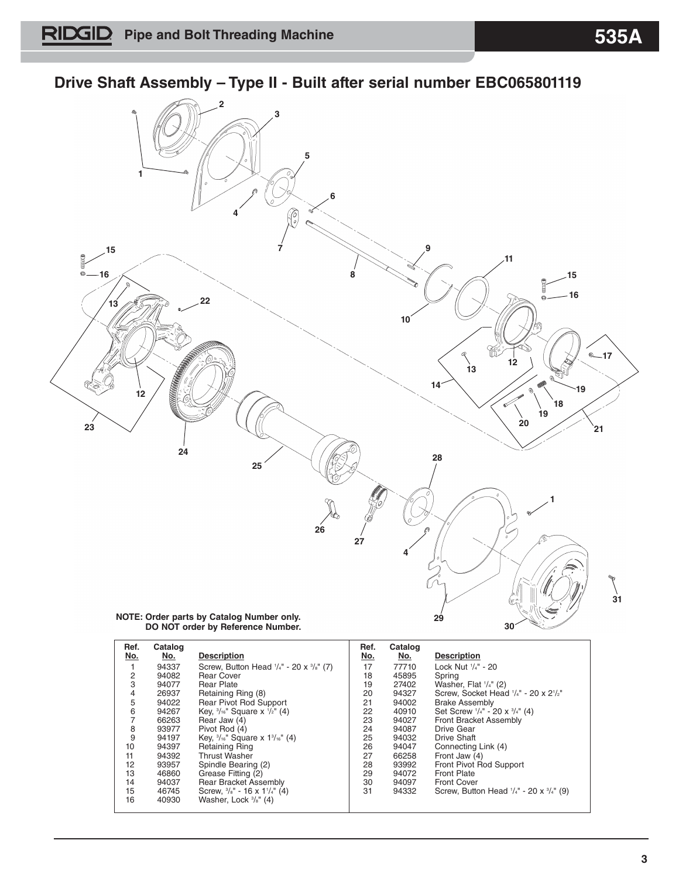## **Drive Shaft Assembly – Type II - Built after serial number EBC065801119**



| NOTE: Order parts by Catalog Number only. |  |  |
|-------------------------------------------|--|--|
| DO NOT order by Reference Number.         |  |  |

| Ref.<br>No. | Catalog<br>No. | <b>Description</b>                                        | Ref.<br>No. | Catalog<br>No. | <b>Description</b>                                            |
|-------------|----------------|-----------------------------------------------------------|-------------|----------------|---------------------------------------------------------------|
|             | 94337          | Screw, Button Head $\frac{1}{4}$ - 20 x $\frac{3}{8}$ (7) | 17          | 77710          | Lock Nut $\frac{1}{4}$ - 20                                   |
| 2           | 94082          | <b>Rear Cover</b>                                         | 18          | 45895          | Spring                                                        |
| 3           | 94077          | <b>Rear Plate</b>                                         | 19          | 27402          | Washer, Flat $\frac{1}{4}$ (2)                                |
| 4           | 26937          | Retaining Ring (8)                                        | 20          | 94327          | Screw, Socket Head '/4" - 20 x 2'/2"                          |
| 5           | 94022          | Rear Pivot Rod Support                                    | 21          | 94002          | <b>Brake Assembly</b>                                         |
| 6           | 94267          | Key, $\frac{3}{16}$ " Square x $\frac{1}{2}$ " (4)        | 22          | 40910          | Set Screw $\frac{1}{4}$ " - 20 x $\frac{3}{4}$ " (4)          |
|             | 66263          | Rear Jaw (4)                                              | 23          | 94027          | <b>Front Bracket Assembly</b>                                 |
| 8           | 93977          | Pivot Rod (4)                                             | 24          | 94087          | Drive Gear                                                    |
| 9           | 94197          | Key, $\frac{3}{16}$ " Square x $1\frac{3}{16}$ " (4)      | 25          | 94032          | <b>Drive Shaft</b>                                            |
| 10          | 94397          | <b>Retaining Ring</b>                                     | 26          | 94047          | Connecting Link (4)                                           |
| 11          | 94392          | <b>Thrust Washer</b>                                      | 27          | 66258          | Front Jaw (4)                                                 |
| 12          | 93957          | Spindle Bearing (2)                                       | 28          | 93992          | Front Pivot Rod Support                                       |
| 13          | 46860          | Grease Fitting (2)                                        | 29          | 94072          | <b>Front Plate</b>                                            |
| 14          | 94037          | <b>Rear Bracket Assembly</b>                              | 30          | 94097          | <b>Front Cover</b>                                            |
| 15          | 46745          | Screw, $\frac{3}{8}$ " - 16 x 1 $\frac{1}{4}$ " (4)       | 31          | 94332          | Screw, Button Head $\frac{1}{4}$ " - 20 x $\frac{3}{4}$ " (9) |
| 16          | 40930          | Washer, Lock $\frac{3}{8}$ " (4)                          |             |                |                                                               |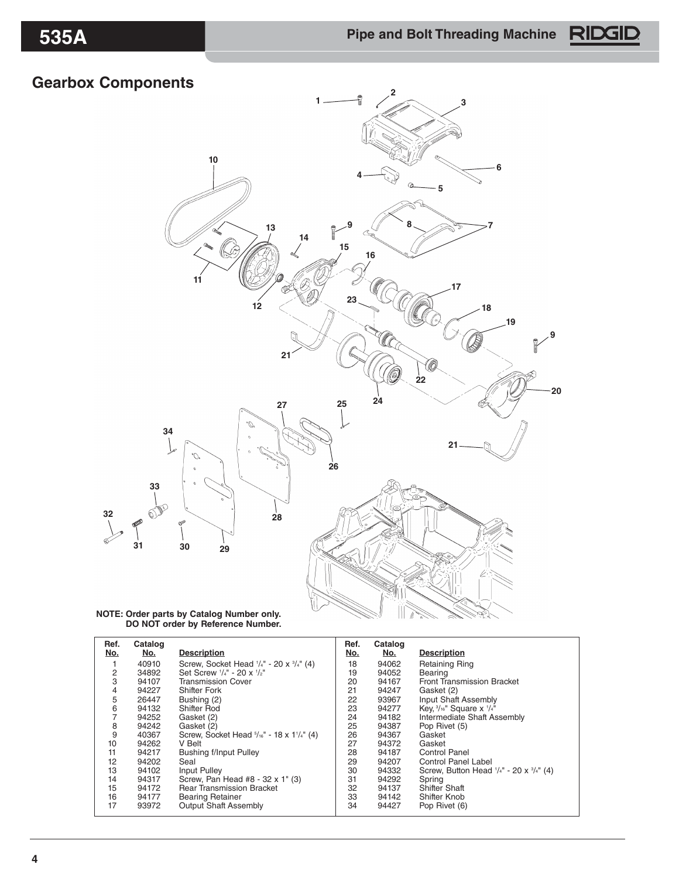# **Gearbox Components**



#### **NOTE: Order parts by Catalog Number only. DO NOT order by Reference Number.**

| Ref.<br>No. | Catalog<br><u>No.</u> | <b>Description</b>                                                    | Ref.<br>No. | Catalog<br>No. | <b>Description</b>                                            |
|-------------|-----------------------|-----------------------------------------------------------------------|-------------|----------------|---------------------------------------------------------------|
|             | 40910                 | Screw, Socket Head $\frac{1}{4}$ " - 20 x $\frac{3}{4}$ " (4)         | 18          | 94062          | <b>Retaining Ring</b>                                         |
| 2           | 34892                 | Set Screw '/4" - 20 x '/2"                                            | 19          | 94052          | Bearing                                                       |
| 3           | 94107                 | <b>Transmission Cover</b>                                             | 20          | 94167          | <b>Front Transmission Bracket</b>                             |
| 4           | 94227                 | <b>Shifter Fork</b>                                                   | 21          | 94247          | Gasket (2)                                                    |
| 5           | 26447                 | Bushing (2)                                                           | 22          | 93967          | Input Shaft Assembly                                          |
| 6           | 94132                 | Shifter Rod                                                           | 23          | 94277          | Key, 3/16" Square x 1/4"                                      |
|             | 94252                 | Gasket (2)                                                            | 24          | 94182          | Intermediate Shaft Assembly                                   |
| 8           | 94242                 | Gasket (2)                                                            | 25          | 94387          | Pop Rivet (5)                                                 |
| 9           | 40367                 | Screw, Socket Head $5/16"$ - 18 x 1 <sup>1</sup> / <sub>4</sub> " (4) | 26          | 94367          | Gasket                                                        |
| 10          | 94262                 | V Belt                                                                | 27          | 94372          | Gasket                                                        |
| 11          | 94217                 | <b>Bushing f/Input Pulley</b>                                         | 28          | 94187          | Control Panel                                                 |
| 12          | 94202                 | Seal                                                                  | 29          | 94207          | Control Panel Label                                           |
| 13          | 94102                 | Input Pulley                                                          | 30          | 94332          | Screw, Button Head $\frac{1}{4}$ " - 20 x $\frac{3}{4}$ " (4) |
| 14          | 94317                 | Screw, Pan Head #8 - 32 x 1" (3)                                      | 31          | 94292          | Spring                                                        |
| 15          | 94172                 | <b>Rear Transmission Bracket</b>                                      | 32          | 94137          | <b>Shifter Shaft</b>                                          |
| 16          | 94177                 | <b>Bearing Retainer</b>                                               | 33          | 94142          | Shifter Knob                                                  |
| 17          | 93972                 | <b>Output Shaft Assembly</b>                                          | 34          | 94427          | Pop Rivet (6)                                                 |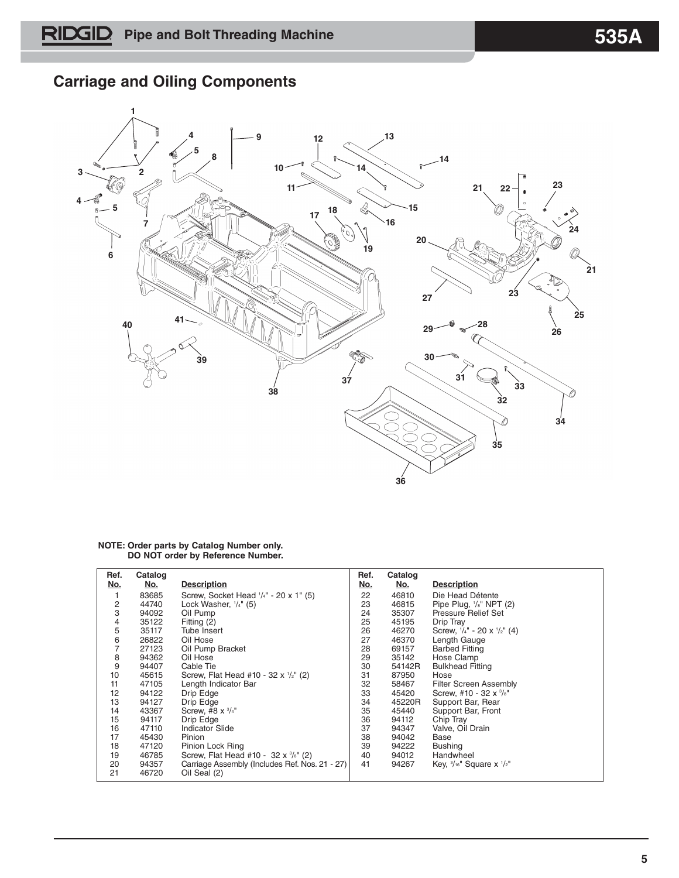## **Carriage and Oiling Components**



#### **NOTE: Order parts by Catalog Number only. DO NOT order by Reference Number.**

| Ref.<br>No.   | Catalog<br><u>No.</u> | <b>Description</b>                             | Ref.<br>No. | Catalog<br><u>No.</u> | <b>Description</b>                             |
|---------------|-----------------------|------------------------------------------------|-------------|-----------------------|------------------------------------------------|
| 1             | 83685                 | Screw, Socket Head $\frac{1}{4}$ - 20 x 1" (5) | 22          | 46810                 | Die Head Détente                               |
|               | 44740                 | Lock Washer, $\frac{1}{4}$ " (5)               | 23          | 46815                 | Pipe Plug, $\frac{1}{s}$ " NPT (2)             |
| $\frac{2}{3}$ | 94092                 | Oil Pump                                       | 24          | 35307                 | Pressure Relief Set                            |
| 4             | 35122                 | Fitting (2)                                    | 25          | 45195                 | Drip Tray                                      |
| 5             | 35117                 | Tube Insert                                    | 26          | 46270                 | Screw, $\frac{1}{4}$ - 20 x $\frac{1}{2}$ (4)  |
| 6             | 26822                 | Oil Hose                                       | 27          | 46370                 | Length Gauge                                   |
| 7             | 27123                 | Oil Pump Bracket                               | 28          | 69157                 | <b>Barbed Fitting</b>                          |
| 8             | 94362                 | Oil Hose                                       | 29          | 35142                 | Hose Clamp                                     |
| 9             | 94407                 | Cable Tie                                      | 30          | 54142R                | <b>Bulkhead Fitting</b>                        |
| 10            | 45615                 | Screw, Flat Head #10 - 32 x 1/2" (2)           | 31          | 87950                 | Hose                                           |
| 11            | 47105                 | Length Indicator Bar                           | 32          | 58467                 | <b>Filter Screen Assembly</b>                  |
| 12            | 94122                 | Drip Edge                                      | 33          | 45420                 | Screw, #10 - 32 x 3/8"                         |
| 13            | 94127                 | Drip Edge                                      | 34          | 45220R                | Support Bar, Rear                              |
| 14            | 43367                 | Screw, #8 $\times$ $3/4"$                      | 35          | 45440                 | Support Bar, Front                             |
| 15            | 94117                 | Drip Edge                                      | 36          | 94112                 | Chip Tray                                      |
| 16            | 47110                 | <b>Indicator Slide</b>                         | 37          | 94347                 | Valve, Oil Drain                               |
| 17            | 45430                 | Pinion                                         | 38          | 94042                 | Base                                           |
| 18            | 47120                 | Pinion Lock Ring                               | 39          | 94222                 | <b>Bushing</b>                                 |
| 19            | 46785                 | Screw, Flat Head #10 - 32 x 3/8" (2)           | 40          | 94012                 | Handwheel                                      |
| 20            | 94357                 | Carriage Assembly (Includes Ref. Nos. 21 - 27) | 41          | 94267                 | Кеу, $\frac{3}{16}$ " Square x $\frac{1}{2}$ " |
| 21            | 46720                 | Oil Seal (2)                                   |             |                       |                                                |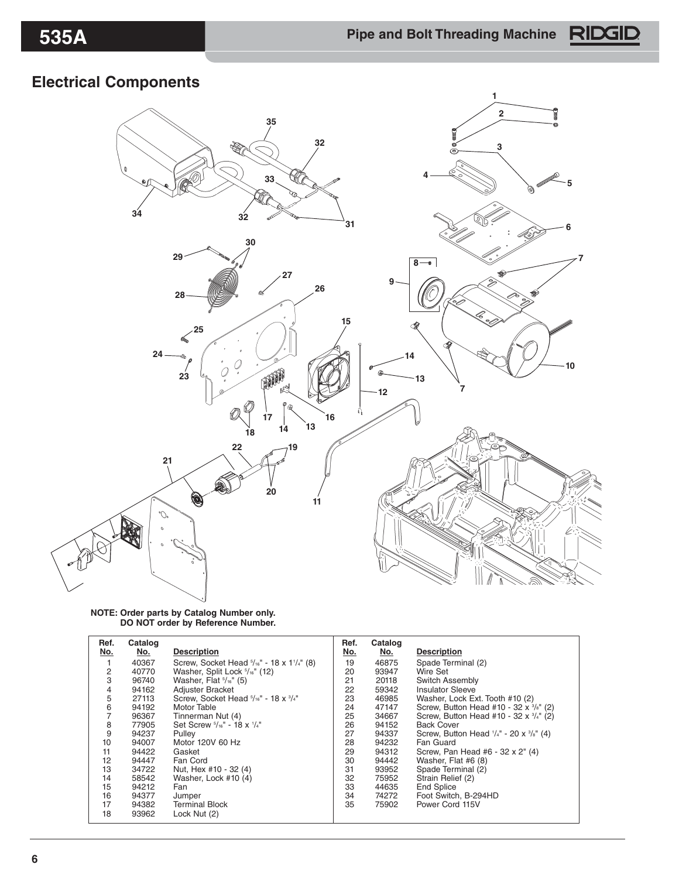## **Electrical Components**



#### **NOTE: Order parts by Catalog Number only. DO NOT order by Reference Number.**

| Ref.       | Catalog    |                                                                  | Ref. | Catalog    |                                                           |
|------------|------------|------------------------------------------------------------------|------|------------|-----------------------------------------------------------|
| <u>No.</u> | <u>No.</u> | <b>Description</b>                                               | No.  | <u>No.</u> | <b>Description</b>                                        |
|            | 40367      | Screw, Socket Head $\frac{5}{16}$ " - 18 x 1 $\frac{1}{4}$ " (8) | 19   | 46875      | Spade Terminal (2)                                        |
| 2          | 40770      | Washer, Split Lock 5/16" (12)                                    | 20   | 93947      | Wire Set                                                  |
| 3          | 96740      | Washer, Flat $\frac{5}{16}$ " (5)                                | 21   | 20118      | Switch Assembly                                           |
| 4          | 94162      | Adjuster Bracket                                                 | 22   | 59342      | <b>Insulator Sleeve</b>                                   |
| 5          | 27113      | Screw, Socket Head 5/16" - 18 x 3/4"                             | 23   | 46985      | Washer, Lock Ext. Tooth #10 (2)                           |
| 6          | 94192      | Motor Table                                                      | 24   | 47147      | Screw, Button Head #10 - 32 x 3/s" (2)                    |
| 7          | 96367      | Tinnerman Nut (4)                                                | 25   | 34667      | Screw, Button Head #10 - 32 x 3/4" (2)                    |
| 8          | 77905      | Set Screw $\frac{5}{16}$ " - 18 x $\frac{1}{4}$ "                | 26   | 94152      | <b>Back Cover</b>                                         |
| 9          | 94237      | Pulley                                                           | 27   | 94337      | Screw, Button Head $\frac{1}{4}$ - 20 x $\frac{3}{8}$ (4) |
| 10         | 94007      | Motor 120V 60 Hz                                                 | 28   | 94232      | Fan Guard                                                 |
| 11         | 94422      | Gasket                                                           | 29   | 94312      | Screw, Pan Head #6 - 32 x 2" (4)                          |
| 12         | 94447      | Fan Cord                                                         | 30   | 94442      | Washer, Flat #6 (8)                                       |
| 13         | 34722      | Nut, Hex #10 - 32 (4)                                            | 31   | 93952      | Spade Terminal (2)                                        |
| 14         | 58542      | Washer, Lock #10 (4)                                             | 32   | 75952      | Strain Relief (2)                                         |
| 15         | 94212      | Fan                                                              | 33   | 44635      | <b>End Splice</b>                                         |
| 16         | 94377      | Jumper                                                           | 34   | 74272      | Foot Switch, B-294HD                                      |
| 17         | 94382      | <b>Terminal Block</b>                                            | 35   | 75902      | Power Cord 115V                                           |
| 18         | 93962      | Lock Nut (2)                                                     |      |            |                                                           |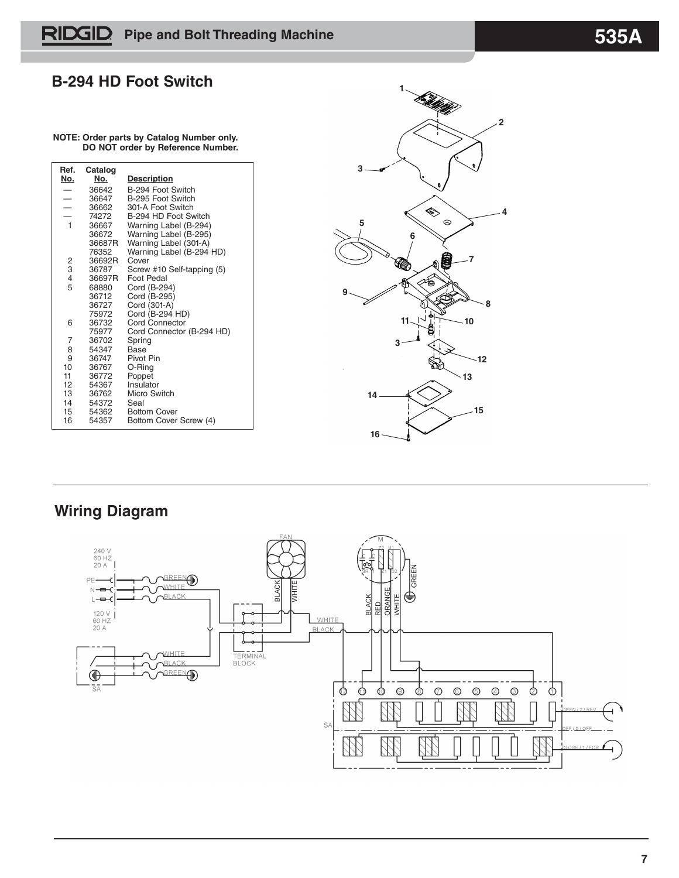### **B-294 HD Foot Switch**

#### **NOTE: Order parts by Catalog Number only. DO NOT order by Reference Number.**

| Ref.                     | Catalog        |                            |
|--------------------------|----------------|----------------------------|
| No.                      | No.            | <b>Description</b>         |
|                          | 36642          | B-294 Foot Switch          |
| $\overline{\phantom{0}}$ | 36647          | B-295 Foot Switch          |
| $\overline{\phantom{0}}$ | 36662          | 301-A Foot Switch          |
|                          | 74272          | B-294 HD Foot Switch       |
| $\overline{1}$           | 36667          | Warning Label (B-294)      |
|                          | 36672          | Warning Label (B-295)      |
|                          | 36687R         | Warning Label (301-A)      |
|                          | 76352          | Warning Label (B-294 HD)   |
| 2                        | 36692R         | Cover                      |
| 3                        | 36787          | Screw #10 Self-tapping (5) |
| 4                        | 36697R         | Foot Pedal                 |
| 5                        | 68880          | Cord (B-294)               |
|                          | 36712          | Cord (B-295)               |
|                          | 36727          | Cord (301-A)               |
|                          | 75972          | Cord (B-294 HD)            |
| 6                        | 36732          | Cord Connector             |
|                          | 75977          | Cord Connector (B-294 HD)  |
| 7                        | 36702          | Spring                     |
| 8                        | 54347          | Base                       |
| 9<br>10                  | 36747          | Pivot Pin                  |
| 11                       | 36767<br>36772 | O-Ring                     |
| 12                       | 54367          | Poppet<br>Insulator        |
| 13                       | 36762          | Micro Switch               |
| 14                       | 54372          | Seal                       |
| 15                       | 54362          | <b>Bottom Cover</b>        |
| 16                       | 54357          |                            |
|                          |                | Bottom Cover Screw (4)     |



## **Wiring Diagram**